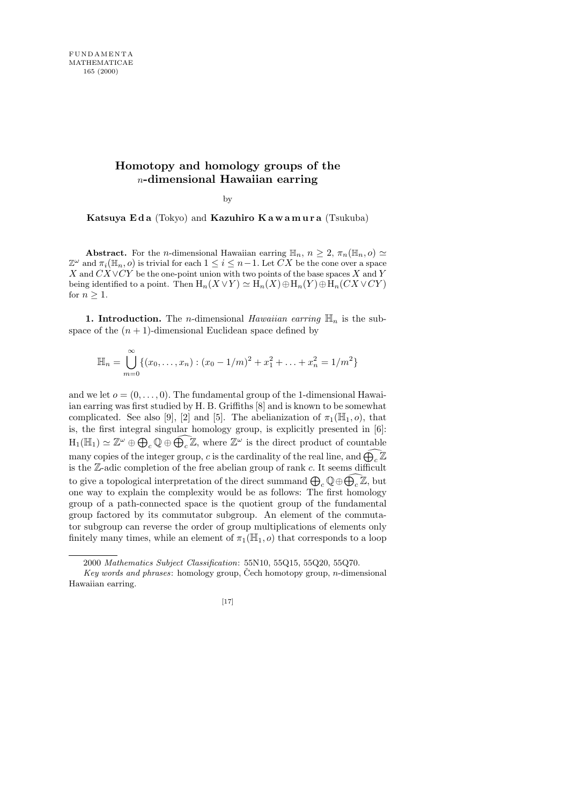## **Homotopy and homology groups of the** n**-dimensional Hawaiian earring**

by

Katsuya Eda (Tokyo) and Kazuhiro Kawamura (Tsukuba)

**Abstract.** For the *n*-dimensional Hawaiian earring  $\mathbb{H}_n$ ,  $n \geq 2$ ,  $\pi_n(\mathbb{H}_n, o) \simeq$  $\mathbb{Z}^{\omega}$  and  $\pi_i(\mathbb{H}_n, o)$  is trivial for each  $1 \leq i \leq n-1$ . Let  $\overline{CX}$  be the cone over a space X and  $CX\vee CY$  be the one-point union with two points of the base spaces X and Y being identified to a point. Then  $H_n(X \vee Y) \simeq H_n(X) \oplus H_n(Y) \oplus H_n(CX \vee CY)$ for  $n \geq 1$ .

1. Introduction. The *n*-dimensional Hawaiian earring  $\mathbb{H}_n$  is the subspace of the  $(n + 1)$ -dimensional Euclidean space defined by

$$
\mathbb{H}_n = \bigcup_{m=0}^{\infty} \{ (x_0, \dots, x_n) : (x_0 - 1/m)^2 + x_1^2 + \dots + x_n^2 = 1/m^2 \}
$$

and we let  $o = (0, \ldots, 0)$ . The fundamental group of the 1-dimensional Hawaiian earring was first studied by H. B. Griffiths [8] and is known to be somewhat complicated. See also [9], [2] and [5]. The abelianization of  $\pi_1(\mathbb{H}_1, o)$ , that is, the first integral singular homology group, is explicitly presented in [6]:  $H_1(\mathbb{H}_1) \simeq \mathbb{Z}^{\omega} \oplus \bigoplus_c \mathbb{Q} \oplus \widehat{\bigoplus_c \mathbb{Z}}$ , where  $\mathbb{Z}^{\omega}$  is the direct product of countable many copies of the integer group, c is the cardinality of the real line, and  $\bigoplus_{c} \mathbb{Z}$ is the  $\mathbb{Z}$ -adic completion of the free abelian group of rank c. It seems difficult to give a topological interpretation of the direct summand  $\bigoplus_c \mathbb{Q} \oplus \widehat{\bigoplus_c \mathbb{Z}}$ , but one way to explain the complexity would be as follows: The first homology group of a path-connected space is the quotient group of the fundamental group factored by its commutator subgroup. An element of the commutator subgroup can reverse the order of group multiplications of elements only finitely many times, while an element of  $\pi_1(\mathbb{H}_1, o)$  that corresponds to a loop

<sup>2000</sup> *Mathematics Subject Classification*: 55N10, 55Q15, 55Q20, 55Q70.

*Key words and phrases:* homology group, Čech homotopy group, *n*-dimensional Hawaiian earring.

<sup>[17]</sup>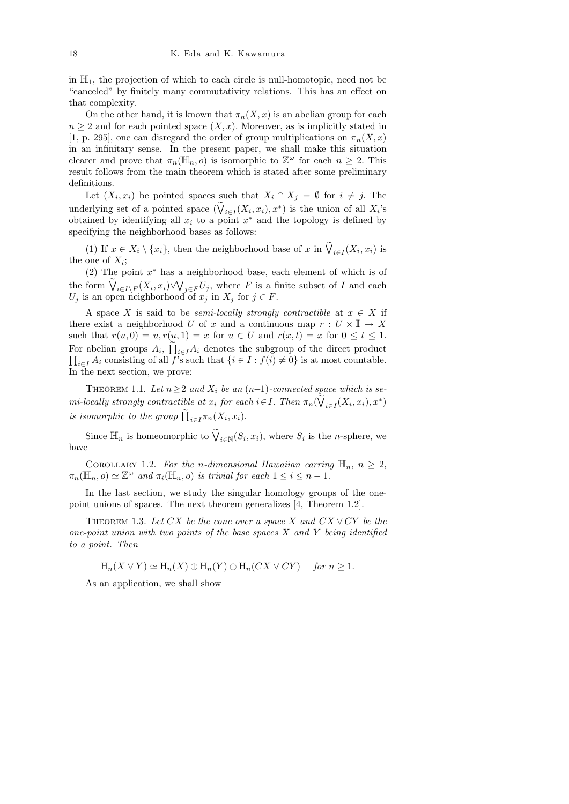in  $\mathbb{H}_1$ , the projection of which to each circle is null-homotopic, need not be "canceled" by finitely many commutativity relations. This has an effect on that complexity.

On the other hand, it is known that  $\pi_n(X, x)$  is an abelian group for each  $n \geq 2$  and for each pointed space  $(X, x)$ . Moreover, as is implicitly stated in [1, p. 295], one can disregard the order of group multiplications on  $\pi_n(X, x)$ in an infinitary sense. In the present paper, we shall make this situation clearer and prove that  $\pi_n(\mathbb{H}_n, o)$  is isomorphic to  $\mathbb{Z}^\omega$  for each  $n \geq 2$ . This result follows from the main theorem which is stated after some preliminary definitions.

Let  $(X_i, x_i)$  be pointed spaces such that  $X_i \cap X_j = \emptyset$  for  $i \neq j$ . The underlying set of a pointed space  $(\bigvee_{i\in I}(X_i,x_i),x^*)$  is the union of all  $X_i$ 's obtained by identifying all  $x_i$  to a point  $x^*$  and the topology is defined by specifying the neighborhood bases as follows:

(1) If  $x \in X_i \setminus \{x_i\}$ , then the neighborhood base of x in  $\bigvee_{i \in I} (X_i, x_i)$  is the one of  $X_i$ ;

(2) The point  $x^*$  has a neighborhood base, each element of which is of the form  $\bigvee_{i\in I\setminus F}(X_i,x_i)\vee\bigvee_{j\in F}U_j$ , where F is a finite subset of I and each  $U_j$  is an open neighborhood of  $x_j$  in  $X_j$  for  $j \in F$ .

A space X is said to be *semi-locally strongly contractible* at  $x \in X$  if there exist a neighborhood U of x and a continuous map  $r: U \times \mathbb{I} \to X$ such that  $r(u, 0) = u, r(u, 1) = x$  for  $u \in U$  and  $r(x, t) = x$  for  $0 \le t \le 1$ . For abelian groups  $A_i$ ,  $\prod_{i\in I} A_i$  denotes the subgroup of the direct product  $\prod_{i\in I} A_i$  consisting of all f's such that  $\{i\in I: f(i)\neq 0\}$  is at most countable. In the next section, we prove:

THEOREM 1.1. Let  $n \geq 2$  and  $X_i$  be an  $(n-1)$ -connected space which is semi-locally strongly contractible at  $x_i$  for each  $i \in I$ . Then  $\pi_n(\bigvee_{i \in I} (X_i, x_i), x^*)$ is isomorphic to the group  $\prod_{i\in I} \pi_n(X_i, x_i)$ .

Since  $\mathbb{H}_n$  is homeomorphic to  $\widetilde{V}_{i \in \mathbb{N}}(S_i, x_i)$ , where  $S_i$  is the *n*-sphere, we have

COROLLARY 1.2. For the n-dimensional Hawaiian earring  $\mathbb{H}_n$ ,  $n \geq 2$ ,  $\pi_n(\mathbb{H}_n, o) \simeq \mathbb{Z}^\omega$  and  $\pi_i(\mathbb{H}_n, o)$  is trivial for each  $1 \leq i \leq n-1$ .

In the last section, we study the singular homology groups of the onepoint unions of spaces. The next theorem generalizes [4, Theorem 1.2].

THEOREM 1.3. Let CX be the cone over a space X and  $CX \vee CY$  be the one-point union with two points of the base spaces  $X$  and  $Y$  being identified to a point. Then

 $H_n(X \vee Y) \simeq H_n(X) \oplus H_n(Y) \oplus H_n(CX \vee CY)$  for  $n \geq 1$ .

As an application, we shall show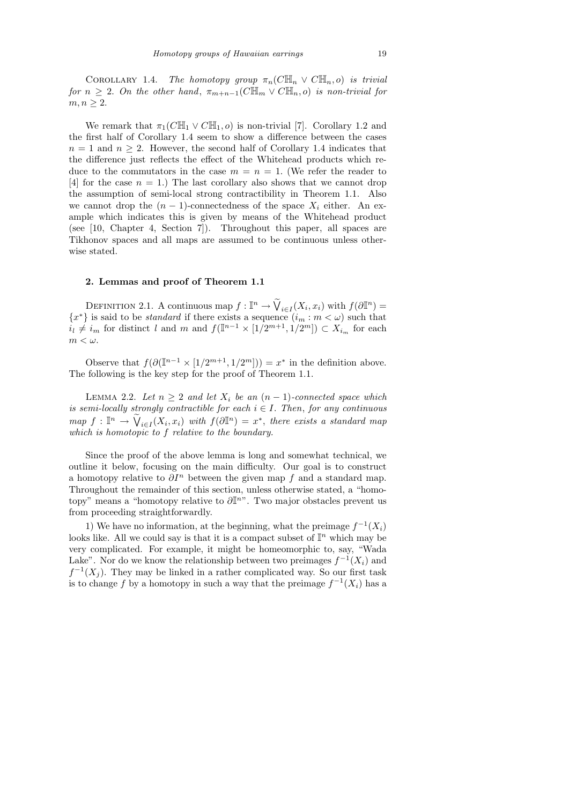COROLLARY 1.4. The homotopy group  $\pi_n(C\mathbb{H}_n \vee C\mathbb{H}_n,o)$  is trivial for  $n \geq 2$ . On the other hand,  $\pi_{m+n-1}(C\mathbb{H}_m \vee C\mathbb{H}_n, o)$  is non-trivial for  $m, n \geq 2$ .

We remark that  $\pi_1(C\mathbb{H}_1 \vee C\mathbb{H}_1, o)$  is non-trivial [7]. Corollary 1.2 and the first half of Corollary 1.4 seem to show a difference between the cases  $n = 1$  and  $n \geq 2$ . However, the second half of Corollary 1.4 indicates that the difference just reflects the effect of the Whitehead products which reduce to the commutators in the case  $m = n = 1$ . (We refer the reader to [4] for the case  $n = 1$ .) The last corollary also shows that we cannot drop the assumption of semi-local strong contractibility in Theorem 1.1. Also we cannot drop the  $(n-1)$ -connectedness of the space  $X_i$  either. An example which indicates this is given by means of the Whitehead product (see [10, Chapter 4, Section 7]). Throughout this paper, all spaces are Tikhonov spaces and all maps are assumed to be continuous unless otherwise stated.

## 2. Lemmas and proof of Theorem 1.1

DEFINITION 2.1. A continuous map  $f: \mathbb{I}^n \to \widetilde{V}_{i \in I}(X_i, x_i)$  with  $f(\partial \mathbb{I}^n) =$  ${x^*}$  is said to be *standard* if there exists a sequence  $(i_m : m < \omega)$  such that  $i_l \neq i_m$  for distinct l and m and  $f(\mathbb{I}^{n-1} \times [1/2^{m+1}, 1/2^m]) \subset X_{i_m}$  for each  $m < \omega$ .

Observe that  $f(\partial(\mathbb{I}^{n-1}\times[1/2^{m+1},1/2^m]))=x^*$  in the definition above. The following is the key step for the proof of Theorem 1.1.

LEMMA 2.2. Let  $n \geq 2$  and let  $X_i$  be an  $(n-1)$ -connected space which is semi-locally strongly contractible for each  $i \in I$ . Then, for any continuous  $map f: \mathbb{I}^n \to \widetilde{V}_{i \in I}(X_i, x_i)$  with  $f(\partial \mathbb{I}^n) = x^*$ , there exists a standard map which is homotopic to f relative to the boundary.

Since the proof of the above lemma is long and somewhat technical, we outline it below, focusing on the main difficulty. Our goal is to construct a homotopy relative to  $\partial I^n$  between the given map f and a standard map. Throughout the remainder of this section, unless otherwise stated, a "homotopy" means a "homotopy relative to  $\partial \mathbb{I}^{n}$ ". Two major obstacles prevent us from proceeding straightforwardly.

1) We have no information, at the beginning, what the preimage  $f^{-1}(X_i)$ looks like. All we could say is that it is a compact subset of  $\mathbb{I}^n$  which may be very complicated. For example, it might be homeomorphic to, say, "Wada Lake". Nor do we know the relationship between two preimages  $f^{-1}(X_i)$  and  $f^{-1}(X_j)$ . They may be linked in a rather complicated way. So our first task is to change f by a homotopy in such a way that the preimage  $f^{-1}(X_i)$  has a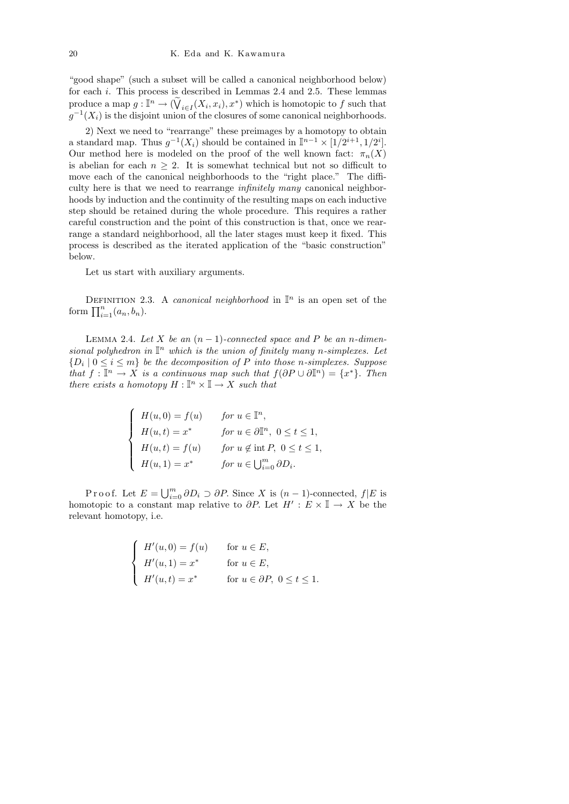"good shape" (such a subset will be called a canonical neighborhood below) for each i. This process is described in Lemmas 2.4 and 2.5. These lemmas produce a map  $g: \mathbb{I}^n \to (\widetilde{\mathsf{V}}_{i \in I}(X_i, x_i), x^*)$  which is homotopic to f such that  $g^{-1}(X_i)$  is the disjoint union of the closures of some canonical neighborhoods.

2) Next we need to "rearrange" these preimages by a homotopy to obtain a standard map. Thus  $g^{-1}(X_i)$  should be contained in  $\mathbb{I}^{n-1} \times [1/2^{i+1}, 1/2^i]$ . Our method here is modeled on the proof of the well known fact:  $\pi_n(X)$ is abelian for each  $n > 2$ . It is somewhat technical but not so difficult to move each of the canonical neighborhoods to the "right place." The difficulty here is that we need to rearrange infinitely many canonical neighborhoods by induction and the continuity of the resulting maps on each inductive step should be retained during the whole procedure. This requires a rather careful construction and the point of this construction is that, once we rearrange a standard neighborhood, all the later stages must keep it fixed. This process is described as the iterated application of the "basic construction" below.

Let us start with auxiliary arguments.

DEFINITION 2.3. A *canonical neighborhood* in  $\mathbb{I}^n$  is an open set of the form  $\prod_{i=1}^{n} (a_n, b_n)$ .

LEMMA 2.4. Let X be an  $(n-1)$ -connected space and P be an n-dimensional polyhedron in  $\mathbb{I}^n$  which is the union of finitely many n-simplexes. Let  $\{D_i \mid 0 \leq i \leq m\}$  be the decomposition of P into those n-simplexes. Suppose that  $f: \mathbb{I}^n \to X$  is a continuous map such that  $f(\partial P \cup \partial \mathbb{I}^n) = \{x^*\}.$  Then there exists a homotopy  $H : \mathbb{I}^n \times \mathbb{I} \to X$  such that

$$
\begin{cases}\nH(u,0) = f(u) & \text{for } u \in \mathbb{I}^n, \\
H(u,t) = x^* & \text{for } u \in \partial \mathbb{I}^n, \ 0 \le t \le 1, \\
H(u,t) = f(u) & \text{for } u \notin \text{int } P, \ 0 \le t \le 1, \\
H(u,1) = x^* & \text{for } u \in \bigcup_{i=0}^m \partial D_i.\n\end{cases}
$$

Proof. Let  $E = \bigcup_{i=0}^{m} \partial D_i \supset \partial P$ . Since X is  $(n-1)$ -connected,  $f|E$  is homotopic to a constant map relative to  $\partial P$ . Let  $H' : E \times \mathbb{I} \to X$  be the relevant homotopy, i.e.

$$
\begin{cases}\nH'(u,0) = f(u) & \text{for } u \in E, \\
H'(u,1) = x^* & \text{for } u \in E, \\
H'(u,t) = x^* & \text{for } u \in \partial P, 0 \le t \le 1.\n\end{cases}
$$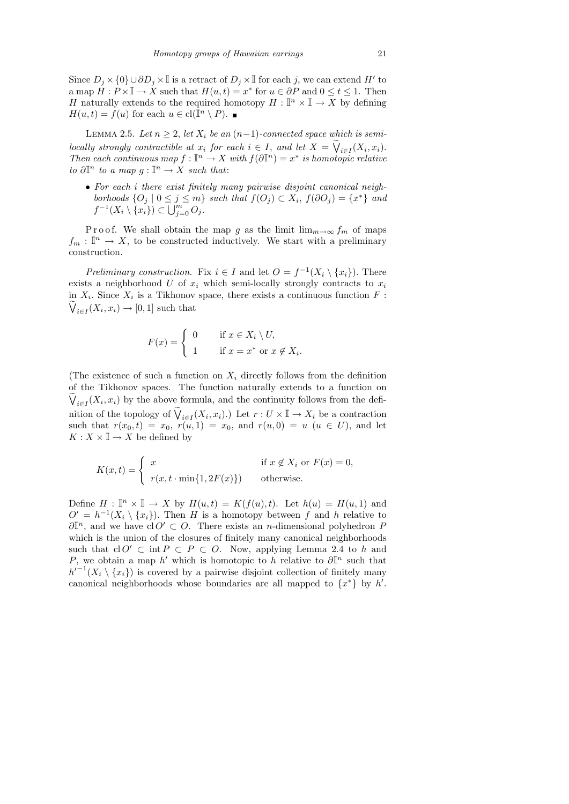Since  $D_j \times \{0\} \cup \partial D_j \times \mathbb{I}$  is a retract of  $D_j \times \mathbb{I}$  for each j, we can extend H' to a map  $H: P \times \mathbb{I} \to X$  such that  $H(u, t) = x^*$  for  $u \in \partial P$  and  $0 \le t \le 1$ . Then H naturally extends to the required homotopy  $H: \mathbb{I}^n \times \mathbb{I} \to \overline{X}$  by defining  $H(u,t) = \dot{f}(u)$  for each  $u \in \text{cl}(\overline{\mathbb{I}}^n \setminus P)$ .

LEMMA 2.5. Let  $n \geq 2$ , let  $X_i$  be an  $(n-1)$ -connected space which is semilocally strongly contractible at  $x_i$  for each  $i \in I$ , and let  $X = \bigvee_{i \in I} (X_i, x_i)$ . Then each continuous map  $f: \mathbb{I}^n \to X$  with  $f(\partial \mathbb{I}^n) = x^*$  is homotopic relative to  $\partial \mathbb{I}^n$  to a map  $g: \mathbb{I}^n \to X$  such that:

• For each i there exist finitely many pairwise disjoint canonical neighborhoods  $\{O_j \mid 0 \leq j \leq m\}$  such that  $f(O_j) \subset X_i$ ,  $f(\partial O_j) = \{x^*\}$  and  $f^{-1}(X_i \setminus \{x_i\}) \subset \overline{\bigcup_{j=0}^{m}} O_j.$ 

P roof. We shall obtain the map g as the limit  $\lim_{m\to\infty} f_m$  of maps  $f_m: \mathbb{I}^n \to X$ , to be constructed inductively. We start with a preliminary construction.

Preliminary construction. Fix  $i \in I$  and let  $O = f^{-1}(X_i \setminus \{x_i\})$ . There exists a neighborhood U of  $x_i$  which semi-locally strongly contracts to  $x_i$ in  $X_i$ . Since  $X_i$  is a Tikhonov space, there exists a continuous function  $F$ :  $\bigvee_{i\in I}(X_i,x_i)\to [0,1]$  such that

$$
F(x) = \begin{cases} 0 & \text{if } x \in X_i \setminus U, \\ 1 & \text{if } x = x^* \text{ or } x \notin X_i. \end{cases}
$$

(The existence of such a function on  $X_i$  directly follows from the definition of the Tikhonov spaces. The function naturally extends to a function on  $\bigvee_{i\in I}(X_i,x_i)$  by the above formula, and the continuity follows from the definition of the topology of  $\widetilde{V}_{i\in I}(X_i,x_i)$ .) Let  $r: U \times \mathbb{I} \to X_i$  be a contraction such that  $r(x_0, t) = x_0$ ,  $r(u, 1) = x_0$ , and  $r(u, 0) = u$   $(u \in U)$ , and let  $K: X \times \mathbb{I} \rightarrow X$  be defined by

$$
K(x,t) = \begin{cases} x & \text{if } x \notin X_i \text{ or } F(x) = 0, \\ r(x,t \cdot \min\{1, 2F(x)\}) & \text{otherwise.} \end{cases}
$$

Define  $H: \mathbb{I}^n \times \mathbb{I} \to X$  by  $H(u,t) = K(f(u),t)$ . Let  $h(u) = H(u,1)$  and  $O' = h^{-1}(X_i \setminus \{x_i\})$ . Then H is a homotopy between f and h relative to  $\partial \mathbb{I}^n$ , and we have cl  $O' \subset O$ . There exists an *n*-dimensional polyhedron *F* which is the union of the closures of finitely many canonical neighborhoods such that cl  $O' \subset \text{int } P \subset P \subset O$ . Now, applying Lemma 2.4 to h and P, we obtain a map h' which is homotopic to h relative to  $\partial \mathbb{I}^n$  such that  $h'^{-1}(X_i \setminus \{x_i\})$  is covered by a pairwise disjoint collection of finitely many canonical neighborhoods whose boundaries are all mapped to  $\{x^*\}$  by  $h'$ .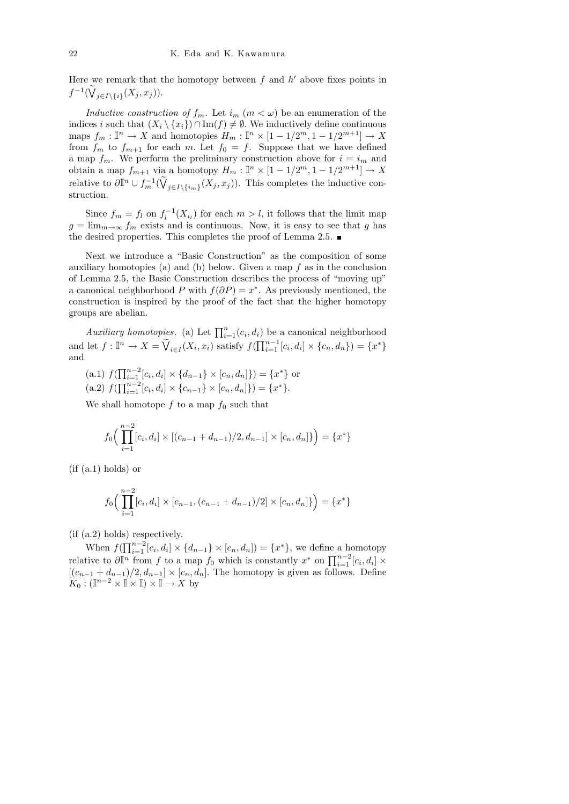Here we remark that the homotopy between  $f$  and  $h'$  above fixes points in  $f^{-1}(\bigvee_{j\in I\setminus\{i\}}(X_j, x_j)).$ 

Inductive construction of  $f_m$ . Let  $i_m$   $(m < \omega)$  be an enumeration of the indices i such that  $(X_i \setminus \{x_i\}) \cap \text{Im}(f) \neq \emptyset$ . We inductively define continuous maps  $f_m: \mathbb{I}^n \to X$  and homotopies  $H_m: \mathbb{I}^n \times [1 - 1/2^m, 1 - 1/2^{m+1}] \to X$ from  $f_m$  to  $f_{m+1}$  for each m. Let  $f_0 = f$ . Suppose that we have defined a map  $f_m$ . We perform the preliminary construction above for  $i = i_m$  and obtain a map  $f_{m+1}$  via a homotopy  $H_m$ :  $\mathbb{I}^n \times [1 - 1/2^m, 1 - 1/2^{m+1}] \to X$ relative to  $\partial \mathbb{I}^n \cup f_m^{-1}(\widetilde{V}_{j\in I\setminus\{i_m\}}(X_j,x_j)).$  This completes the inductive construction.

Since  $f_m = f_l$  on  $f_l^{-1}(X_{i_l})$  for each  $m > l$ , it follows that the limit map  $g = \lim_{m \to \infty} f_m$  exists and is continuous. Now, it is easy to see that g has the desired properties. This completes the proof of Lemma 2.5.  $\blacksquare$ 

Next we introduce a "Basic Construction" as the composition of some auxiliary homotopies (a) and (b) below. Given a map  $f$  as in the conclusion of Lemma 2.5, the Basic Construction describes the process of "moving up" a canonical neighborhood P with  $f(\partial P) = x^*$ . As previously mentioned, the construction is inspired by the proof of the fact that the higher homotopy groups are abelian.

Auxiliary homotopies. (a) Let  $\prod_{i=1}^{n} (c_i, d_i)$  be a canonical neighborhood and let  $f: \mathbb{I}^n \to X = \widetilde{\mathsf{V}}_{i \in I}(X_i, x_i)$  satisfy  $f(\prod_{i=1}^{n-1} [c_i, d_i] \times \{c_n, d_n\}) = \{x^*\}$ and

- (a.1)  $f(\prod_{i=1}^{n-2} [c_i, d_i] \times \{d_{n-1}\} \times [c_n, d_n]\}) = \{x^*\}$  or (a.2)  $f(\prod_{i=1}^{n-2} [c_i, d_i] \times \{c_{n-1}\} \times [c_n, d_n]\}) = \{x^*\}.$
- 

We shall homotope  $f$  to a map  $f_0$  such that

$$
f_0\Big(\prod_{i=1}^{n-2} [c_i, d_i] \times [(c_{n-1} + d_{n-1})/2, d_{n-1}] \times [c_n, d_n] \} \Big) = \{x^*\}
$$

 $(f$  (a.1) holds) or

$$
f_0\Big(\prod_{i=1}^{n-2} [c_i, d_i] \times [c_{n-1}, (c_{n-1} + d_{n-1})/2] \times [c_n, d_n] \} \Big) = \{x^*\}
$$

(if (a.2) holds) respectively.

When  $f(\prod_{i=1}^{n-2} [c_i, d_i] \times \{d_{n-1}\} \times [c_n, d_n]) = \{x^*\}$ , we define a homotopy relative to  $\partial \mathbb{I}^n$  from f to a map f<sub>0</sub> which is constantly  $x^*$  on  $\prod_{i=1}^{n-2} [c_i, d_i]$  ×  $[(c_{n-1}+d_{n-1})/2, d_{n-1}]\times [c_n, d_n]$ . The homotopy is given as follows. Define  $K_0: (\mathbb{I}^{n-2} \times \mathbb{I} \times \mathbb{I}) \times \mathbb{I} \to X$  by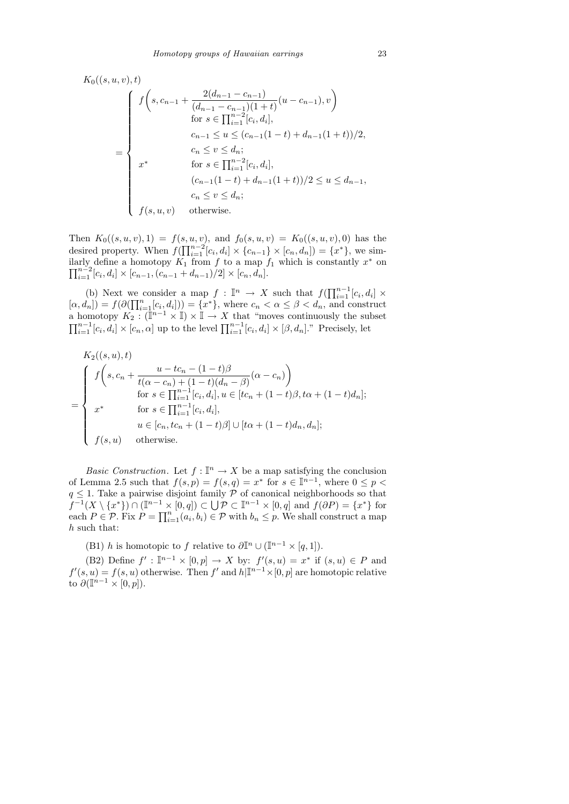$$
K_0((s, u, v), t)
$$
\n
$$
= \begin{cases}\nf\left(s, c_{n-1} + \frac{2(d_{n-1} - c_{n-1})}{(d_{n-1} - c_{n-1})(1+t)}(u - c_{n-1}), v\right) \\
for s \in \prod_{i=1}^{n-2} [c_i, d_i], \\
c_{n-1} \le u \le (c_{n-1}(1-t) + d_{n-1}(1+t))/2, \\
c_n \le v \le d_n; \\
for s \in \prod_{i=1}^{n-2} [c_i, d_i], \\
(c_{n-1}(1-t) + d_{n-1}(1+t))/2 \le u \le d_{n-1}, \\
c_n \le v \le d_n; \\
f(s, u, v) \quad \text{otherwise.}\n\end{cases}
$$

Then  $K_0((s, u, v), 1) = f(s, u, v)$ , and  $f_0(s, u, v) = K_0((s, u, v), 0)$  has the desired property. When  $f(\prod_{i=1}^{n-2} [c_i, d_i] \times \{c_{n-1}\} \times [c_n, d_n]) = \{x^*\}$ , we similarly define a homotopy  $K_1$  from f to a map  $f_1$  which is constantly  $x^*$  on  $\prod_{i=1}^{n-2} [c_i, d_i] \times [c_{n-1}, (c_{n-1} + d_{n-1})/2] \times [c_n, d_n].$ 

(b) Next we consider a map  $f: \mathbb{I}^n \to X$  such that  $f(\prod_{i=1}^{n-1}[c_i, d_i] \times$  $[\alpha, d_n]$  =  $f(\partial(\prod_{i=1}^n[c_i, d_i])) = \{x^*\},$  where  $c_n < \alpha \leq \beta < d_n$ , and construct a homotopy  $K_2: (\mathbb{I}^{n-1} \times \mathbb{I}) \times \mathbb{I} \to X$  that "moves continuously the subset  $\prod_{i=1}^{n-1} [c_i, d_i] \times [c_n, \alpha]$  up to the level  $\prod_{i=1}^{n-1} [c_i, d_i] \times [\beta, d_n]$ ." Precisely, let

$$
K_2((s, u), t)
$$
\n
$$
= \begin{cases}\nf\left(s, c_n + \frac{u - tc_n - (1 - t)\beta}{t(\alpha - c_n) + (1 - t)(d_n - \beta)}(\alpha - c_n)\right) \\
\text{for } s \in \prod_{i=1}^{n-1} [c_i, d_i], u \in [tc_n + (1 - t)\beta, t\alpha + (1 - t)d_n]; \\
x^* \quad \text{for } s \in \prod_{i=1}^{n-1} [c_i, d_i], \\
u \in [c_n, tc_n + (1 - t)\beta] \cup [t\alpha + (1 - t)d_n, d_n]; \\
f(s, u) \quad \text{otherwise.} \n\end{cases}
$$

*Basic Construction.* Let  $f : \mathbb{I}^n \to X$  be a map satisfying the conclusion of Lemma 2.5 such that  $f(s, p) = f(s, q) = x^*$  for  $s \in \mathbb{I}^{n-1}$ , where  $0 \leq p <$  $q \leq 1$ . Take a pairwise disjoint family P of canonical neighborhoods so that  $f^{-1}(X \setminus \{x^*\}) \cap (\mathbb{I}^{n-1} \times [0,q]) \subset \bigcup_{i}^{\sim} \mathcal{P} \subset \mathbb{I}^{n-1} \times [0,q]$  and  $f(\partial P) = \{x^*\}$  for each  $P \in \mathcal{P}$ . Fix  $P = \prod_{i=1}^{n} (a_i, b_i) \in \mathcal{P}$  with  $b_n \leq p$ . We shall construct a map h such that:

(B1) h is homotopic to f relative to  $\partial \mathbb{I}^n \cup (\mathbb{I}^{n-1} \times [q, 1]).$ 

(B2) Define  $f': \mathbb{I}^{n-1} \times [0,p] \to X$  by:  $f'(s,u) = x^*$  if  $(s,u) \in P$  and  $f'(s, u) = f(s, u)$  otherwise. Then f' and  $h|\mathbb{I}^{n-1}\times[0, p]$  are homotopic relative to  $\partial(\mathbb{I}^{n-1} \times [0,p]).$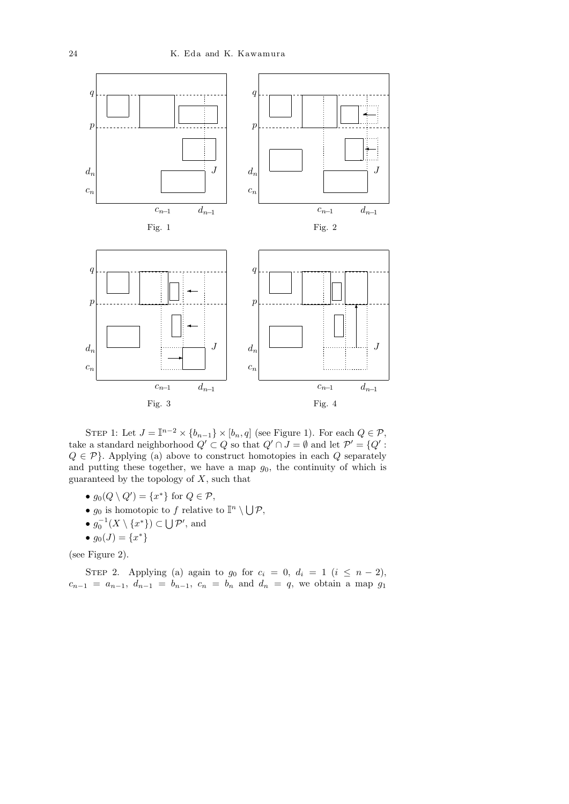

STEP 1: Let  $J = \mathbb{I}^{n-2} \times \{b_{n-1}\} \times [b_n, q]$  (see Figure 1). For each  $Q \in \mathcal{P}$ , take a standard neighborhood  $Q' \subset Q$  so that  $Q' \cap J = \emptyset$  and let  $\mathcal{P}' = \{Q' :$  $Q \in \mathcal{P}$ . Applying (a) above to construct homotopies in each Q separately and putting these together, we have a map  $g_0$ , the continuity of which is guaranteed by the topology of  $X$ , such that

- $g_0(Q \setminus Q') = \{x^*\}$  for  $Q \in \mathcal{P}$ ,
- $g_0$  is homotopic to f relative to  $\mathbb{I}^n \setminus \bigcup \mathcal{P}$ ,
- $g_0^{-1}(X \setminus \{x^*\}) \subset \bigcup \mathcal{P}'$ , and
- $g_0(J) = \{x^*\}$

(see Figure 2).

STEP 2. Applying (a) again to  $g_0$  for  $c_i = 0$ ,  $d_i = 1$   $(i \leq n-2)$ ,  $c_{n-1} = a_{n-1}, d_{n-1} = b_{n-1}, c_n = b_n$  and  $d_n = q$ , we obtain a map  $g_1$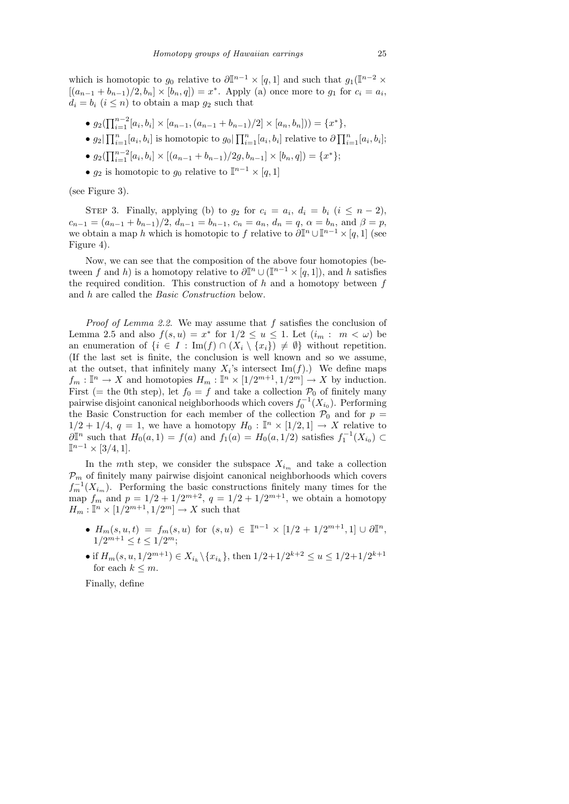which is homotopic to  $g_0$  relative to  $\partial \mathbb{I}^{n-1} \times [q,1]$  and such that  $g_1(\mathbb{I}^{n-2} \times$  $[(a_{n-1} + b_{n-1})/2, b_n] \times [b_n, q] = x^*$ . Apply (a) once more to  $g_1$  for  $c_i = a_i$ ,  $d_i = b_i$   $(i \leq n)$  to obtain a map  $q_2$  such that

- $g_2(\prod_{i=1}^{n-2} [a_i, b_i] \times [a_{n-1}, (a_{n-1} + b_{n-1})/2] \times [a_n, b_n]) = \{x^*\},\$
- $g_2|\prod_{i=1}^n [a_i, b_i]$  is homotopic to  $g_0|\prod_{i=1}^n [a_i, b_i]$  relative to  $\partial \prod_{i=1}^n [a_i, b_i]$ ;
- $g_2(\prod_{i=1}^{n-2} [a_i, b_i] \times [(a_{n-1} + b_{n-1})/2g, b_{n-1}] \times [b_n, q]) = \{x^*\};$
- $g_2$  is homotopic to  $g_0$  relative to  $\mathbb{I}^{n-1} \times [q, 1]$

(see Figure 3).

STEP 3. Finally, applying (b) to  $g_2$  for  $c_i = a_i$ ,  $d_i = b_i$   $(i \leq n-2)$ ,  $c_{n-1} = (a_{n-1} + b_{n-1})/2$ ,  $d_{n-1} = b_{n-1}$ ,  $c_n = a_n$ ,  $d_n = q$ ,  $\alpha = b_n$ , and  $\beta = p$ , we obtain a map h which is homotopic to f relative to  $\partial \mathbb{I}^n \cup \mathbb{I}^{n-1} \times [q, 1]$  (see Figure 4).

Now, we can see that the composition of the above four homotopies (between f and h) is a homotopy relative to  $\partial \mathbb{I}^n \cup (\mathbb{I}^{n-1} \times [q,1])$ , and h satisfies the required condition. This construction of  $h$  and a homotopy between f and h are called the Basic Construction below.

Proof of Lemma 2.2. We may assume that f satisfies the conclusion of Lemma 2.5 and also  $f(s, u) = x^*$  for  $1/2 \le u \le 1$ . Let  $(i_m : m < \omega)$  be an enumeration of  $\{i \in I : \text{Im}(f) \cap (X_i \setminus \{x_i\}) \neq \emptyset\}$  without repetition. (If the last set is finite, the conclusion is well known and so we assume, at the outset, that infinitely many  $X_i$ 's intersect Im(f).) We define maps  $f_m: \mathbb{I}^n \to X$  and homotopies  $H_m: \mathbb{I}^n \times [1/2^{m+1}, 1/2^m] \to X$  by induction. First (= the 0th step), let  $f_0 = f$  and take a collection  $P_0$  of finitely many pairwise disjoint canonical neighborhoods which covers  $f_0^{-1}(X_{i_0})$ . Performing the Basic Construction for each member of the collection  $P_0$  and for  $p =$  $1/2 + 1/4$ ,  $q = 1$ , we have a homotopy  $H_0: \mathbb{I}^n \times [1/2, 1] \rightarrow X$  relative to  $\mathcal{O}(\mathbb{I}^n)$  such that  $H_0(a,1) = f(a)$  and  $f_1(a) = H_0(a,1/2)$  satisfies  $f_1^{-1}(X_{i_0}) \subset$  $\mathbb{I}^{n-1} \times [3/4, 1].$ 

In the mth step, we consider the subspace  $X_{i_m}$  and take a collection  $P_m$  of finitely many pairwise disjoint canonical neighborhoods which covers  $f_m^{-1}(X_{i_m})$ . Performing the basic constructions finitely many times for the map  $f_m$  and  $p = 1/2 + 1/2^{m+2}$ ,  $q = 1/2 + 1/2^{m+1}$ , we obtain a homotopy  $H_m: \mathbb{I}^n \times [1/2^{m+1}, 1/2^m] \to X$  such that

- $H_m(s, u, t) = f_m(s, u)$  for  $(s, u) \in \mathbb{I}^{n-1} \times [1/2 + 1/2^{m+1}, 1] \cup \partial \mathbb{I}^n$ ,  $1/2^{m+1} \le t \le 1/2^m;$
- if  $H_m(s, u, 1/2^{m+1}) \in X_{i_k} \backslash \{x_{i_k}\}\$ , then  $1/2+1/2^{k+2} \le u \le 1/2+1/2^{k+1}$ for each  $k \leq m$ .

Finally, define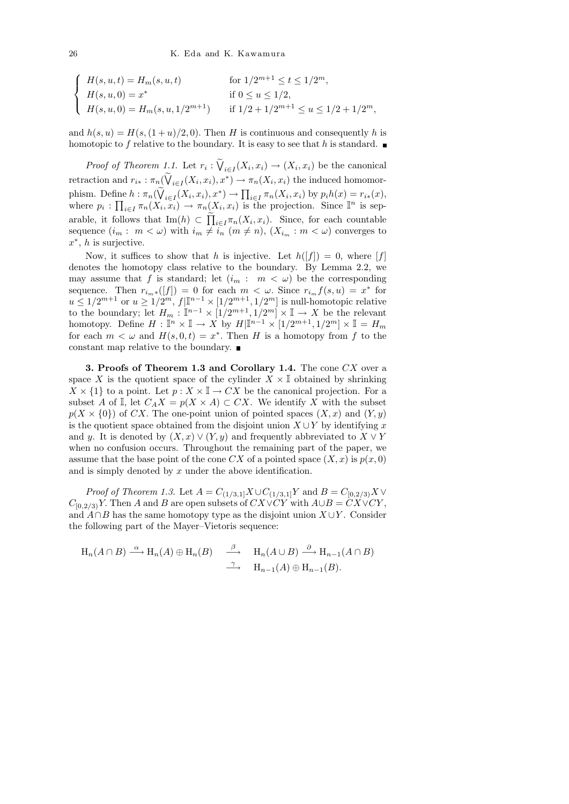$$
\begin{cases}\nH(s, u, t) = H_m(s, u, t) & \text{for } 1/2^{m+1} \le t \le 1/2^m, \\
H(s, u, 0) = x^* & \text{if } 0 \le u \le 1/2, \\
H(s, u, 0) = H_m(s, u, 1/2^{m+1}) & \text{if } 1/2 + 1/2^{m+1} \le u \le 1/2 + 1/2^m,\n\end{cases}
$$

and  $h(s, u) = H(s,(1 + u)/2, 0)$ . Then H is continuous and consequently h is homotopic to f relative to the boundary. It is easy to see that h is standard.

*Proof of Theorem 1.1.* Let  $r_i : \bigvee_{i \in I} (X_i, x_i) \to (X_i, x_i)$  be the canonical retraction and  $r_{i*}: \pi_n(\dot{V}_{i \in I}(X_i, x_i), x^*) \to \pi_n(X_i, x_i)$  the induced homomorphism. Define  $h : \pi_n(\bigvee_{i \in I} (X_i, x_i), x^*) \to \prod_{i \in I} \pi_n(X_i, x_i)$  by  $p_i h(x) = r_{i*}(x)$ , where  $p_i: \prod_{i\in I} \pi_n(X_i, x_i) \to \pi_n(X_i, x_i)$  is the projection. Since  $\mathbb{I}^n$  is separable, it follows that  $\text{Im}(h) \subset \prod_{i \in I} \pi_n(X_i, x_i)$ . Since, for each countable sequence  $(i_m : m < \omega)$  with  $i_m \neq i_n$   $(m \neq n)$ ,  $(X_{i_m} : m < \omega)$  converges to  $x^*$ , *h* is surjective.

Now, it suffices to show that h is injective. Let  $h([f]) = 0$ , where [f] denotes the homotopy class relative to the boundary. By Lemma 2.2, we may assume that f is standard; let  $(i_m : m < \omega)$  be the corresponding sequence. Then  $r_{i_m*}([f]) = 0$  for each  $m < \omega$ . Since  $r_{i_m} f(s, u) = x^*$  for  $u \leq 1/2^{m+1}$  or  $u \geq 1/2^m$ ,  $f|\mathbb{I}^{n-1} \times [1/2^{m+1}, 1/2^m]$  is null-homotopic relative to the boundary; let  $H_m : \mathbb{I}^{n-1} \times [1/2^{m+1}, 1/2^m] \times \mathbb{I} \to X$  be the relevant homotopy. Define  $H: \mathbb{I}^n \times \mathbb{I} \to X$  by  $H|\mathbb{I}^{n-1} \times [1/2^{m+1}, 1/2^m] \times \mathbb{I} = H_m$ for each  $m < \omega$  and  $H(s, 0, t) = x^*$ . Then H is a homotopy from f to the constant map relative to the boundary.

3. Proofs of Theorem 1.3 and Corollary 1.4. The cone  $CX$  over a space X is the quotient space of the cylinder  $X \times \mathbb{I}$  obtained by shrinking  $X \times \{1\}$  to a point. Let  $p : X \times \mathbb{I} \to CX$  be the canonical projection. For a subset A of I, let  $C_A X = p(X \times A) \subset C X$ . We identify X with the subset  $p(X \times \{0\})$  of CX. The one-point union of pointed spaces  $(X, x)$  and  $(Y, y)$ is the quotient space obtained from the disjoint union  $X \cup Y$  by identifying x and y. It is denoted by  $(X, x) \vee (Y, y)$  and frequently abbreviated to  $X \vee Y$ when no confusion occurs. Throughout the remaining part of the paper, we assume that the base point of the cone CX of a pointed space  $(X, x)$  is  $p(x, 0)$ and is simply denoted by x under the above identification.

*Proof of Theorem 1.3.* Let  $A = C_{(1/3,1]}X \cup C_{(1/3,1]}Y$  and  $B = C_{[0,2/3)}X \vee C_{[0,1/3]}Y$  $C_{[0,2/3)}Y$ . Then A and B are open subsets of  $CX\vee CY$  with  $A\cup B = CX\vee CY$ , and  $A \cap B$  has the same homotopy type as the disjoint union  $X \cup Y$ . Consider the following part of the Mayer–Vietoris sequence:

$$
H_n(A \cap B) \xrightarrow{\alpha} H_n(A) \oplus H_n(B) \xrightarrow{\beta} H_n(A \cup B) \xrightarrow{\partial} H_{n-1}(A \cap B)
$$
  

$$
\xrightarrow{\gamma} H_{n-1}(A) \oplus H_{n-1}(B).
$$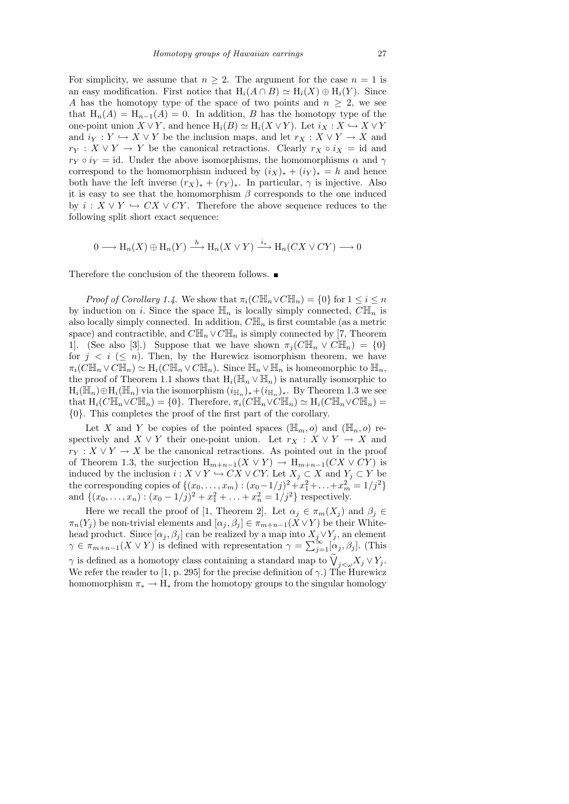For simplicity, we assume that  $n > 2$ . The argument for the case  $n = 1$  is an easy modification. First notice that  $H_i(A \cap B) \simeq H_i(X) \oplus H_i(Y)$ . Since A has the homotopy type of the space of two points and  $n \geq 2$ , we see that  $H_n(A) = H_{n-1}(A) = 0$ . In addition, B has the homotopy type of the one-point union  $X \vee Y$ , and hence  $H_i(B) \simeq H_i(X \vee Y)$ . Let  $i_X : X \hookrightarrow X \vee Y$ and  $i_Y : Y \hookrightarrow X \vee Y$  be the inclusion maps, and let  $r_X : X \vee Y \to X$  and  $r_Y : X \vee Y \to Y$  be the canonical retractions. Clearly  $r_X \circ i_X = id$  and  $r_Y \circ i_Y = id$ . Under the above isomorphisms, the homomorphisms  $\alpha$  and  $\gamma$ correspond to the homomorphism induced by  $(i_X)_* + (i_Y)_* = h$  and hence both have the left inverse  $(r_X)_* + (r_Y)_*$ . In particular,  $\gamma$  is injective. Also it is easy to see that the homomorphism  $\beta$  corresponds to the one induced by  $i: X \vee Y \hookrightarrow CX \vee CY$ . Therefore the above sequence reduces to the following split short exact sequence:

$$
0 \longrightarrow H_n(X) \oplus H_n(Y) \xrightarrow{h} H_n(X \vee Y) \xrightarrow{i_*} H_n(CX \vee CY) \longrightarrow 0
$$

Therefore the conclusion of the theorem follows.  $\blacksquare$ 

*Proof of Corollary 1.4.* We show that  $\pi_i(C\mathbb{H}_n \vee C\mathbb{H}_n) = \{0\}$  for  $1 \leq i \leq n$ by induction on i. Since the space  $\mathbb{H}_n$  is locally simply connected,  $C\mathbb{H}_n$  is also locally simply connected. In addition,  $C\mathbb{H}_n$  is first countable (as a metric space) and contractible, and  $C\mathbb{H}_n \vee C\mathbb{H}_n$  is simply connected by [7, Theorem 1. (See also [3].) Suppose that we have shown  $\pi_i(C\mathbb{H}_n \vee C\mathbb{H}_n) = \{0\}$ for  $j \leq i \leq n$ ). Then, by the Hurewicz isomorphism theorem, we have  $\pi_i(C\mathbb{H}_n \vee C\mathbb{H}_n) \simeq \mathrm{H}_i(C\mathbb{H}_n \vee C\mathbb{H}_n)$ . Since  $\mathbb{H}_n \vee \mathbb{H}_n$  is homeomorphic to  $\mathbb{H}_n$ , the proof of Theorem 1.1 shows that  $H_i(\mathbb{H}_n \vee \mathbb{H}_n)$  is naturally isomorphic to  $H_i(\mathbb{H}_n) \oplus H_i(\mathbb{H}_n)$  via the isomorphism  $(i_{\mathbb{H}_n})_* + (i_{\mathbb{H}_n})_*$ . By Theorem 1.3 we see that  $H_i(C\mathbb{H}_n \vee C\mathbb{H}_n) = \{0\}$ . Therefore,  $\pi_i(C\mathbb{H}_n \vee C\mathbb{H}_n) \simeq H_i(C\mathbb{H}_n \vee C\mathbb{H}_n) =$ {0}. This completes the proof of the first part of the corollary.

Let X and Y be copies of the pointed spaces  $(\mathbb{H}_m, o)$  and  $(\mathbb{H}_n, o)$  respectively and  $X \vee Y$  their one-point union. Let  $r_X : X \vee Y \to X$  and  $r_Y : X \vee Y \to X$  be the canonical retractions. As pointed out in the proof of Theorem 1.3, the surjection  $H_{m+n-1}(X \vee Y) \to H_{m+n-1}(CX \vee CY)$  is induced by the inclusion  $i : X \vee Y \hookrightarrow CX \vee CY$ . Let  $X_j \subset X$  and  $Y_j \subset Y$  be the corresponding copies of  $\{(x_0, ..., x_m) : (x_0 - 1/j)^2 + x_1^2 + ... + x_m^2 = 1/j^2\}$ and  $\{(x_0, \ldots, x_n) : (x_0 - 1/j)^2 + x_1^2 + \ldots + x_n^2 = 1/j^2\}$  respectively.

Here we recall the proof of [1, Theorem 2]. Let  $\alpha_j \in \pi_m(X_j)$  and  $\beta_j \in$  $\pi_n(Y_j)$  be non-trivial elements and  $[\alpha_j, \beta_j] \in \pi_{m+n-1}(X \vee Y)$  be their Whitehead product. Since  $[\alpha_j, \beta_j]$  can be realized by a map into  $X_j \vee Y_j$ , an element  $\gamma \in \pi_{m+n-1}(X \vee Y)$  is defined with representation  $\gamma = \sum_{j=1}^{\infty} [\alpha_j, \beta_j]$ . (This  $\gamma$  is defined as a homotopy class containing a standard map to  $\bigvee_{j\leq\omega}X_j\vee Y_j$ . We refer the reader to [1, p. 295] for the precise definition of  $\gamma$ .) The Hurewicz homomorphism  $\pi_* \to H_*$  from the homotopy groups to the singular homology